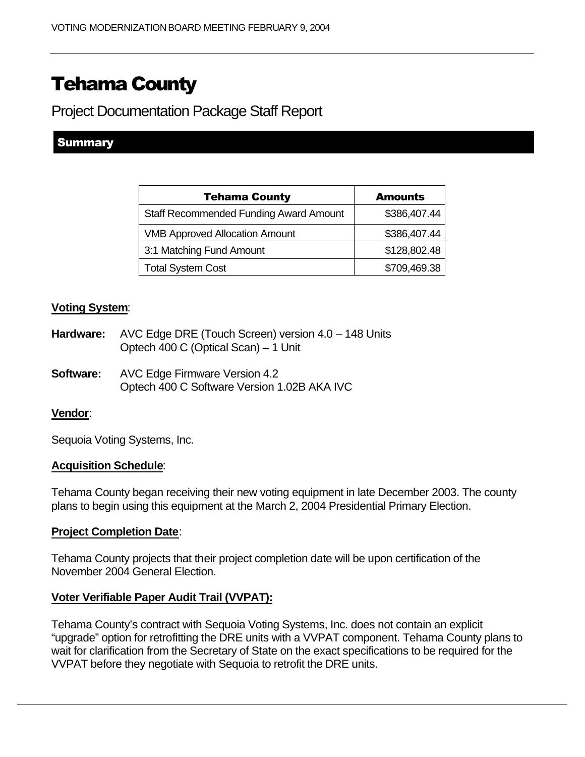# Tehama County

Project Documentation Package Staff Report

## **Summary**

| <b>Tehama County</b>                          | <b>Amounts</b> |
|-----------------------------------------------|----------------|
| <b>Staff Recommended Funding Award Amount</b> | \$386,407.44   |
| <b>VMB Approved Allocation Amount</b>         | \$386,407.44   |
| 3:1 Matching Fund Amount                      | \$128,802.48   |
| <b>Total System Cost</b>                      | \$709,469.38   |

### **Voting System**:

- **Hardware:** AVC Edge DRE (Touch Screen) version 4.0 148 Units Optech 400 C (Optical Scan) – 1 Unit
- **Software:** AVC Edge Firmware Version 4.2 Optech 400 C Software Version 1.02B AKA IVC

#### **Vendor**:

Sequoia Voting Systems, Inc.

#### **Acquisition Schedule**:

Tehama County began receiving their new voting equipment in late December 2003. The county plans to begin using this equipment at the March 2, 2004 Presidential Primary Election.

#### **Project Completion Date**:

Tehama County projects that their project completion date will be upon certification of the November 2004 General Election.

#### **Voter Verifiable Paper Audit Trail (VVPAT):**

Tehama County's contract with Sequoia Voting Systems, Inc. does not contain an explicit "upgrade" option for retrofitting the DRE units with a VVPAT component. Tehama County plans to wait for clarification from the Secretary of State on the exact specifications to be required for the VVPAT before they negotiate with Sequoia to retrofit the DRE units.